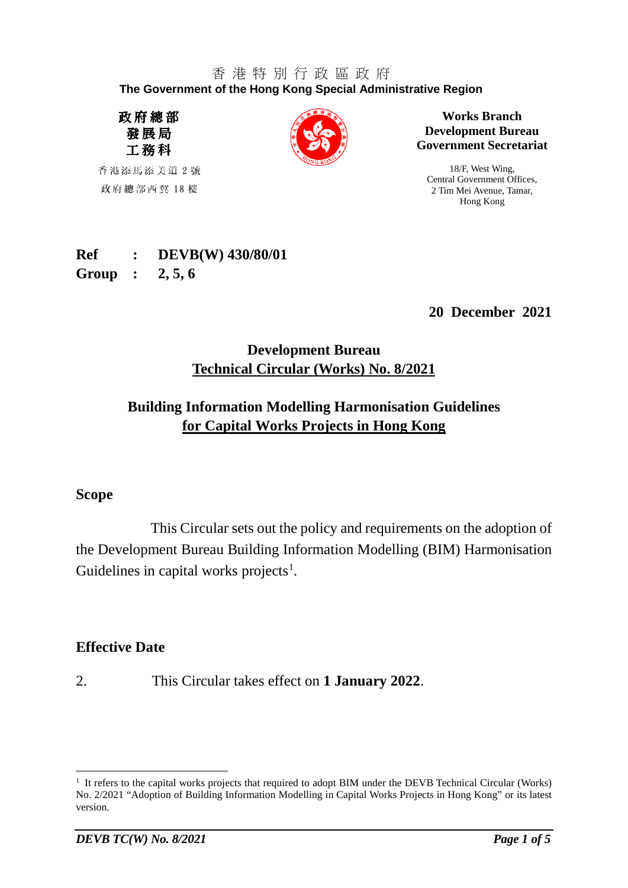#### 香 港 特 別 行 政 區 政 府 **The Government of the Hong Kong Special Administrative Region**

政府總部 發展局 工務科

香港添馬添美道 2 號 政府總部西翼 18 樓



**Works Branch Development Bureau Government Secretariat**

18/F, West Wing, Central Government Offices, 2 Tim Mei Avenue, Tamar, Hong Kong

# **Ref : DEVB(W) 430/80/01**

**Group : 2, 5, 6**

**20 December 2021**

# **Development Bureau Technical Circular (Works) No. 8/2021**

# **Building Information Modelling Harmonisation Guidelines for Capital Works Projects in Hong Kong**

## **Scope**

This Circular sets out the policy and requirements on the adoption of the Development Bureau Building Information Modelling (BIM) Harmonisation Guidelines in capital works projects<sup>[1](#page-0-0)</sup>.

## **Effective Date**

2. This Circular takes effect on **1 January 2022**.

<span id="page-0-0"></span><sup>&</sup>lt;sup>1</sup> It refers to the capital works projects that required to adopt BIM under the DEVB Technical Circular (Works) No. 2/2021 "Adoption of Building Information Modelling in Capital Works Projects in Hong Kong" or its latest version.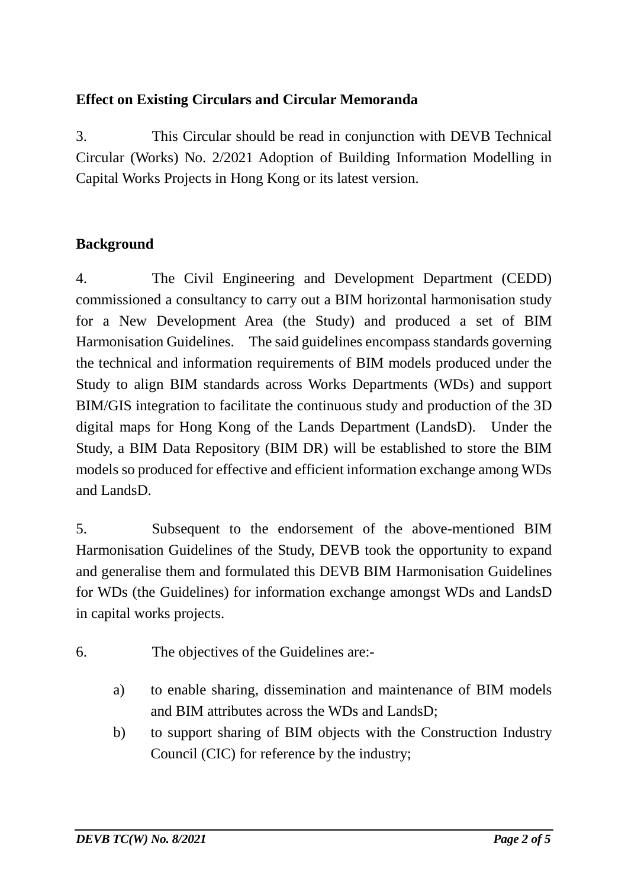# **Effect on Existing Circulars and Circular Memoranda**

3. This Circular should be read in conjunction with DEVB Technical Circular (Works) No. 2/2021 Adoption of Building Information Modelling in Capital Works Projects in Hong Kong or its latest version.

# **Background**

4. The Civil Engineering and Development Department (CEDD) commissioned a consultancy to carry out a BIM horizontal harmonisation study for a New Development Area (the Study) and produced a set of BIM Harmonisation Guidelines. The said guidelines encompass standards governing the technical and information requirements of BIM models produced under the Study to align BIM standards across Works Departments (WDs) and support BIM/GIS integration to facilitate the continuous study and production of the 3D digital maps for Hong Kong of the Lands Department (LandsD). Under the Study, a BIM Data Repository (BIM DR) will be established to store the BIM models so produced for effective and efficient information exchange among WDs and LandsD.

5. Subsequent to the endorsement of the above-mentioned BIM Harmonisation Guidelines of the Study, DEVB took the opportunity to expand and generalise them and formulated this DEVB BIM Harmonisation Guidelines for WDs (the Guidelines) for information exchange amongst WDs and LandsD in capital works projects.

- 6. The objectives of the Guidelines are:
	- a) to enable sharing, dissemination and maintenance of BIM models and BIM attributes across the WDs and LandsD;
	- b) to support sharing of BIM objects with the Construction Industry Council (CIC) for reference by the industry;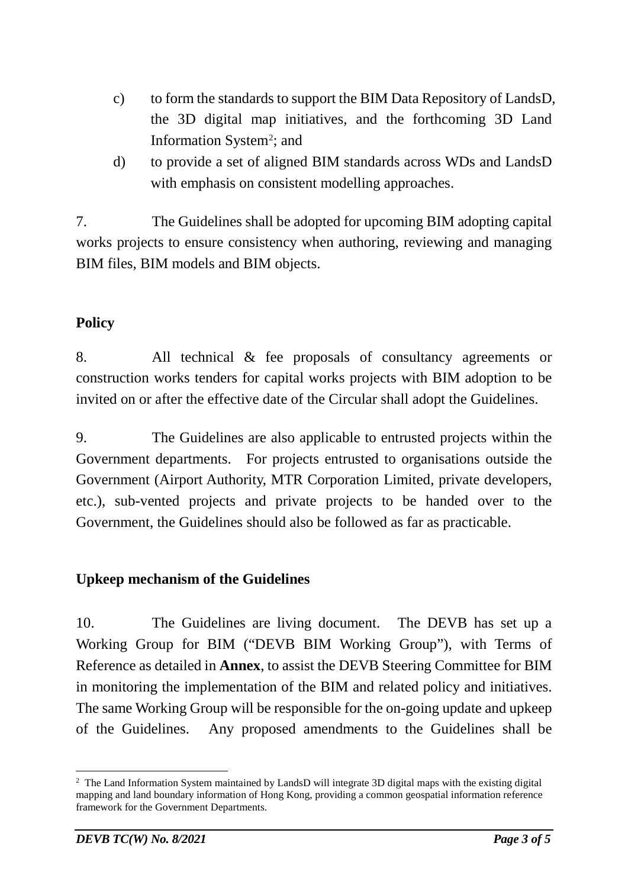- c) to form the standards to support the BIM Data Repository of LandsD, the 3D digital map initiatives, and the forthcoming 3D Land Information System<sup>[2](#page-2-0)</sup>; and
- d) to provide a set of aligned BIM standards across WDs and LandsD with emphasis on consistent modelling approaches.

7. The Guidelines shall be adopted for upcoming BIM adopting capital works projects to ensure consistency when authoring, reviewing and managing BIM files, BIM models and BIM objects.

# **Policy**

8. All technical & fee proposals of consultancy agreements or construction works tenders for capital works projects with BIM adoption to be invited on or after the effective date of the Circular shall adopt the Guidelines.

9. The Guidelines are also applicable to entrusted projects within the Government departments. For projects entrusted to organisations outside the Government (Airport Authority, MTR Corporation Limited, private developers, etc.), sub-vented projects and private projects to be handed over to the Government, the Guidelines should also be followed as far as practicable.

## **Upkeep mechanism of the Guidelines**

10. The Guidelines are living document. The DEVB has set up a Working Group for BIM ("DEVB BIM Working Group"), with Terms of Reference as detailed in **Annex**, to assist the DEVB Steering Committee for BIM in monitoring the implementation of the BIM and related policy and initiatives. The same Working Group will be responsible for the on-going update and upkeep of the Guidelines. Any proposed amendments to the Guidelines shall be

<span id="page-2-0"></span><sup>&</sup>lt;sup>2</sup> The Land Information System maintained by LandsD will integrate 3D digital maps with the existing digital mapping and land boundary information of Hong Kong, providing a common geospatial information reference framework for the Government Departments.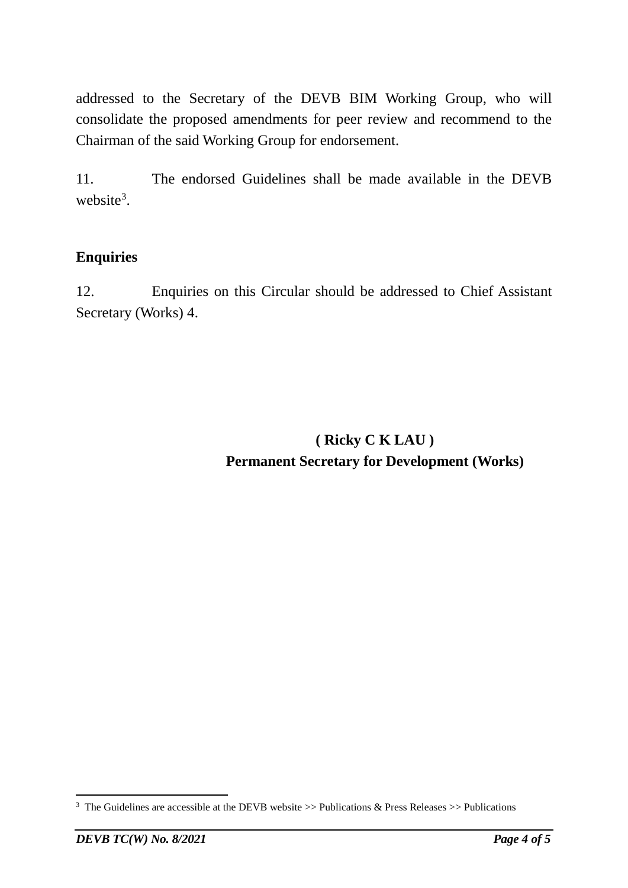addressed to the Secretary of the DEVB BIM Working Group, who will consolidate the proposed amendments for peer review and recommend to the Chairman of the said Working Group for endorsement.

11. The endorsed Guidelines shall be made available in the DEVB website<sup>[3](#page-3-0)</sup>.

# **Enquiries**

12. Enquiries on this Circular should be addressed to Chief Assistant Secretary (Works) 4.

> **( Ricky C K LAU ) Permanent Secretary for Development (Works)**

<span id="page-3-0"></span><sup>&</sup>lt;sup>3</sup> The Guidelines are accessible at the DEVB website  $\gg$  Publications & Press Releases  $\gg$  Publications